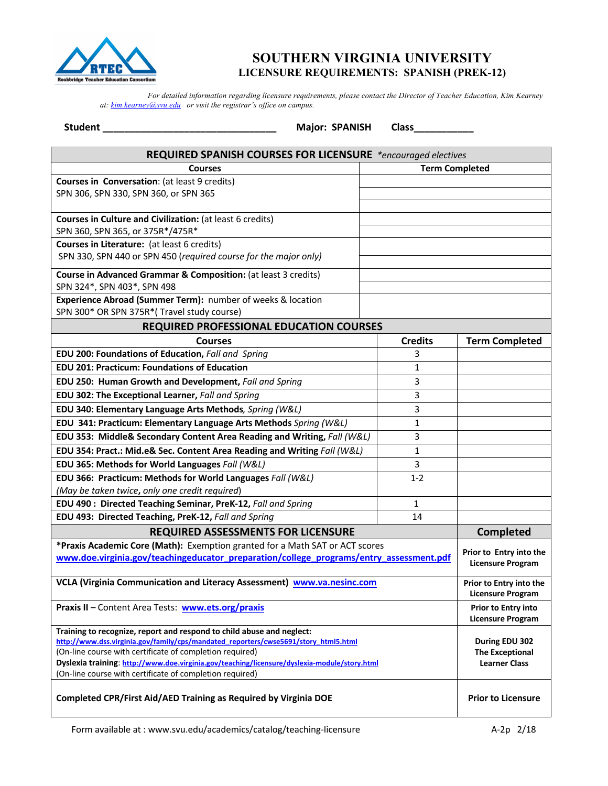

## **SOUTHERN VIRGINIA UNIVERSITY LICENSURE REQUIREMENTS: SPANISH (PREK-12)**

 *For detailed information regarding licensure requirements, please contact the Director of Teacher Education, Kim Kearney at: kim.kearney@svu.edu or visit the registrar's office on campus.*

**Student \_\_\_\_\_\_\_\_\_\_\_\_\_\_\_\_\_\_\_\_\_\_\_\_\_\_\_\_\_\_\_\_ Major: SPANISH Class\_\_\_\_\_\_\_\_\_\_\_**

| REQUIRED SPANISH COURSES FOR LICENSURE *encouraged electives                                                                                                                                                                                                                                                                                                                         |                       |                                                                  |  |  |
|--------------------------------------------------------------------------------------------------------------------------------------------------------------------------------------------------------------------------------------------------------------------------------------------------------------------------------------------------------------------------------------|-----------------------|------------------------------------------------------------------|--|--|
| <b>Courses</b>                                                                                                                                                                                                                                                                                                                                                                       | <b>Term Completed</b> |                                                                  |  |  |
| Courses in Conversation: (at least 9 credits)                                                                                                                                                                                                                                                                                                                                        |                       |                                                                  |  |  |
| SPN 306, SPN 330, SPN 360, or SPN 365                                                                                                                                                                                                                                                                                                                                                |                       |                                                                  |  |  |
|                                                                                                                                                                                                                                                                                                                                                                                      |                       |                                                                  |  |  |
| Courses in Culture and Civilization: (at least 6 credits)                                                                                                                                                                                                                                                                                                                            |                       |                                                                  |  |  |
| SPN 360, SPN 365, or 375R*/475R*                                                                                                                                                                                                                                                                                                                                                     |                       |                                                                  |  |  |
| Courses in Literature: (at least 6 credits)                                                                                                                                                                                                                                                                                                                                          |                       |                                                                  |  |  |
| SPN 330, SPN 440 or SPN 450 (required course for the major only)                                                                                                                                                                                                                                                                                                                     |                       |                                                                  |  |  |
| Course in Advanced Grammar & Composition: (at least 3 credits)                                                                                                                                                                                                                                                                                                                       |                       |                                                                  |  |  |
| SPN 324*, SPN 403*, SPN 498                                                                                                                                                                                                                                                                                                                                                          |                       |                                                                  |  |  |
| Experience Abroad (Summer Term): number of weeks & location                                                                                                                                                                                                                                                                                                                          |                       |                                                                  |  |  |
| SPN 300* OR SPN 375R*(Travel study course)                                                                                                                                                                                                                                                                                                                                           |                       |                                                                  |  |  |
| REQUIRED PROFESSIONAL EDUCATION COURSES                                                                                                                                                                                                                                                                                                                                              |                       |                                                                  |  |  |
| <b>Courses</b>                                                                                                                                                                                                                                                                                                                                                                       | <b>Credits</b>        | <b>Term Completed</b>                                            |  |  |
| EDU 200: Foundations of Education, Fall and Spring                                                                                                                                                                                                                                                                                                                                   | 3                     |                                                                  |  |  |
| <b>EDU 201: Practicum: Foundations of Education</b>                                                                                                                                                                                                                                                                                                                                  | 1                     |                                                                  |  |  |
| EDU 250: Human Growth and Development, Fall and Spring                                                                                                                                                                                                                                                                                                                               | 3                     |                                                                  |  |  |
| EDU 302: The Exceptional Learner, Fall and Spring                                                                                                                                                                                                                                                                                                                                    | 3                     |                                                                  |  |  |
| EDU 340: Elementary Language Arts Methods, Spring (W&L)                                                                                                                                                                                                                                                                                                                              | 3                     |                                                                  |  |  |
| EDU 341: Practicum: Elementary Language Arts Methods Spring (W&L)                                                                                                                                                                                                                                                                                                                    | 1                     |                                                                  |  |  |
| EDU 353: Middle& Secondary Content Area Reading and Writing, Fall (W&L)                                                                                                                                                                                                                                                                                                              | 3                     |                                                                  |  |  |
| EDU 354: Pract.: Mid.e& Sec. Content Area Reading and Writing Fall (W&L)                                                                                                                                                                                                                                                                                                             | 1                     |                                                                  |  |  |
| EDU 365: Methods for World Languages Fall (W&L)                                                                                                                                                                                                                                                                                                                                      | 3                     |                                                                  |  |  |
| EDU 366: Practicum: Methods for World Languages Fall (W&L)                                                                                                                                                                                                                                                                                                                           | $1 - 2$               |                                                                  |  |  |
| (May be taken twice, only one credit required)                                                                                                                                                                                                                                                                                                                                       |                       |                                                                  |  |  |
| EDU 490 : Directed Teaching Seminar, PreK-12, Fall and Spring                                                                                                                                                                                                                                                                                                                        | 1                     |                                                                  |  |  |
| EDU 493: Directed Teaching, PreK-12, Fall and Spring                                                                                                                                                                                                                                                                                                                                 | 14                    |                                                                  |  |  |
| <b>REQUIRED ASSESSMENTS FOR LICENSURE</b>                                                                                                                                                                                                                                                                                                                                            |                       | <b>Completed</b>                                                 |  |  |
| *Praxis Academic Core (Math): Exemption granted for a Math SAT or ACT scores                                                                                                                                                                                                                                                                                                         |                       | Prior to Entry into the                                          |  |  |
| www.doe.virginia.gov/teachingeducator_preparation/college_programs/entry_assessment.pdf                                                                                                                                                                                                                                                                                              |                       | <b>Licensure Program</b>                                         |  |  |
|                                                                                                                                                                                                                                                                                                                                                                                      |                       |                                                                  |  |  |
| VCLA (Virginia Communication and Literacy Assessment) www.va.nesinc.com                                                                                                                                                                                                                                                                                                              |                       | Prior to Entry into the<br>Licensure Program                     |  |  |
| Praxis II - Content Area Tests: www.ets.org/praxis                                                                                                                                                                                                                                                                                                                                   |                       | <b>Prior to Entry into</b><br><b>Licensure Program</b>           |  |  |
| Training to recognize, report and respond to child abuse and neglect:<br>http://www.dss.virginia.gov/family/cps/mandated reporters/cwse5691/story html5.html<br>(On-line course with certificate of completion required)<br>Dyslexia training: http://www.doe.virginia.gov/teaching/licensure/dyslexia-module/story.html<br>(On-line course with certificate of completion required) |                       | During EDU 302<br><b>The Exceptional</b><br><b>Learner Class</b> |  |  |
| Completed CPR/First Aid/AED Training as Required by Virginia DOE                                                                                                                                                                                                                                                                                                                     |                       | <b>Prior to Licensure</b>                                        |  |  |